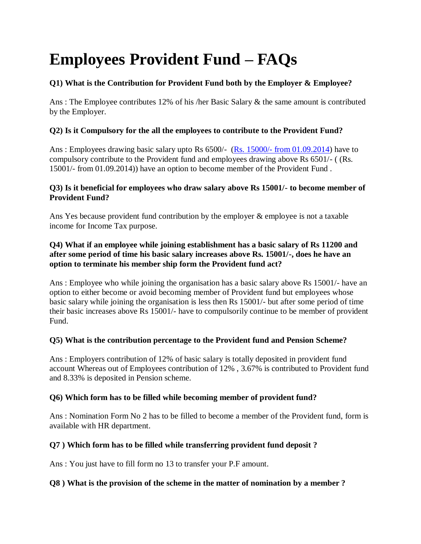# **Employees Provident Fund – FAQs**

# **Q1) What is the Contribution for Provident Fund both by the Employer & Employee?**

Ans : The Employee contributes 12% of his /her Basic Salary & the same amount is contributed by the Employer.

# **Q2) Is it Compulsory for the all the employees to contribute to the Provident Fund?**

Ans : Employees drawing basic salary upto Rs 6500/- (Rs. 15000/- [from 01.09.2014\)](https://taxguru.in/corporate-law/employee-provident-fund-epf-limit-increased-rs-15000-rs-6500-wef-01092014.html) have to compulsory contribute to the Provident fund and employees drawing above Rs 6501/- ( (Rs. 15001/- from 01.09.2014)) have an option to become member of the Provident Fund .

## **Q3) Is it beneficial for employees who draw salary above Rs 15001/- to become member of Provident Fund?**

Ans Yes because provident fund contribution by the employer & employee is not a taxable income for Income Tax purpose.

#### **Q4) What if an employee while joining establishment has a basic salary of Rs 11200 and after some period of time his basic salary increases above Rs. 15001/-, does he have an option to terminate his member ship form the Provident fund act?**

Ans : Employee who while joining the organisation has a basic salary above Rs 15001/- have an option to either become or avoid becoming member of Provident fund but employees whose basic salary while joining the organisation is less then Rs 15001/- but after some period of time their basic increases above Rs 15001/- have to compulsorily continue to be member of provident Fund.

# **Q5) What is the contribution percentage to the Provident fund and Pension Scheme?**

Ans : Employers contribution of 12% of basic salary is totally deposited in provident fund account Whereas out of Employees contribution of 12% , 3.67% is contributed to Provident fund and 8.33% is deposited in Pension scheme.

# **Q6) Which form has to be filled while becoming member of provident fund?**

Ans : Nomination Form No 2 has to be filled to become a member of the Provident fund, form is available with HR department.

# **Q7 ) Which form has to be filled while transferring provident fund deposit ?**

Ans : You just have to fill form no 13 to transfer your P.F amount.

# **Q8 ) What is the provision of the scheme in the matter of nomination by a member ?**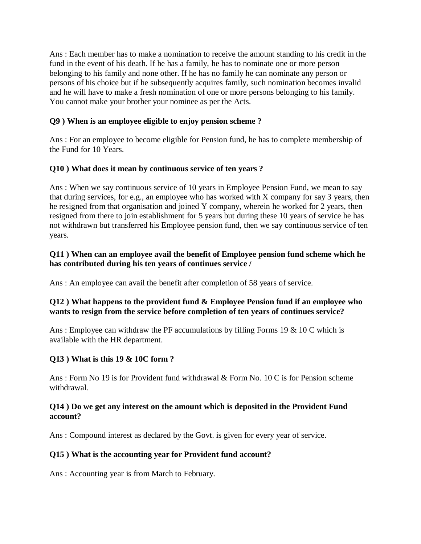Ans : Each member has to make a nomination to receive the amount standing to his credit in the fund in the event of his death. If he has a family, he has to nominate one or more person belonging to his family and none other. If he has no family he can nominate any person or persons of his choice but if he subsequently acquires family, such nomination becomes invalid and he will have to make a fresh nomination of one or more persons belonging to his family. You cannot make your brother your nominee as per the Acts.

#### **Q9 ) When is an employee eligible to enjoy pension scheme ?**

Ans : For an employee to become eligible for Pension fund, he has to complete membership of the Fund for 10 Years.

#### **Q10 ) What does it mean by continuous service of ten years ?**

Ans : When we say continuous service of 10 years in Employee Pension Fund, we mean to say that during services, for e.g., an employee who has worked with X company for say 3 years, then he resigned from that organisation and joined Y company, wherein he worked for 2 years, then resigned from there to join establishment for 5 years but during these 10 years of service he has not withdrawn but transferred his Employee pension fund, then we say continuous service of ten years.

#### **Q11 ) When can an employee avail the benefit of Employee pension fund scheme which he has contributed during his ten years of continues service /**

Ans : An employee can avail the benefit after completion of 58 years of service.

#### **Q12 ) What happens to the provident fund & Employee Pension fund if an employee who wants to resign from the service before completion of ten years of continues service?**

Ans : Employee can withdraw the PF accumulations by filling Forms 19 & 10 C which is available with the HR department.

#### **Q13 ) What is this 19 & 10C form ?**

Ans : Form No 19 is for Provident fund withdrawal & Form No. 10 C is for Pension scheme withdrawal.

#### **Q14 ) Do we get any interest on the amount which is deposited in the Provident Fund account?**

Ans : Compound interest as declared by the Govt. is given for every year of service.

#### **Q15 ) What is the accounting year for Provident fund account?**

Ans : Accounting year is from March to February.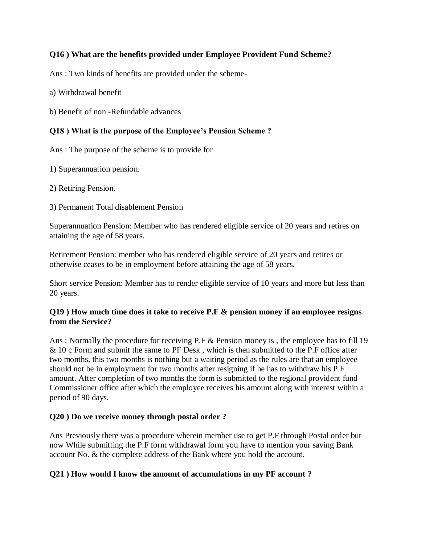#### **Q16 ) What are the benefits provided under Employee Provident Fund Scheme?**

Ans : Two kinds of benefits are provided under the scheme-

a) Withdrawal benefit

b) Benefit of non -Refundable advances

#### **Q18 ) What is the purpose of the Employee's Pension Scheme ?**

Ans : The purpose of the scheme is to provide for

1) Superannuation pension.

2) Retiring Pension.

3) Permanent Total disablement Pension

Superannuation Pension: Member who has rendered eligible service of 20 years and retires on attaining the age of 58 years.

Retirement Pension: member who has rendered eligible service of 20 years and retires or otherwise ceases to be in employment before attaining the age of 58 years.

Short service Pension: Member has to render eligible service of 10 years and more but less than 20 years.

#### **Q19 ) How much time does it take to receive P.F & pension money if an employee resigns from the Service?**

Ans : Normally the procedure for receiving P.F & Pension money is, the employee has to fill 19 & 10 c Form and submit the same to PF Desk , which is then submitted to the P.F office after two months, this two months is nothing but a waiting period as the rules are that an employee should not be in employment for two months after resigning if he has to withdraw his P.F amount. After completion of two months the form is submitted to the regional provident fund Commissioner office after which the employee receives his amount along with interest within a period of 90 days.

#### **Q20 ) Do we receive money through postal order ?**

Ans Previously there was a procedure wherein member use to get P.F through Postal order but now While submitting the P.F form withdrawal form you have to mention your saving Bank account No. & the complete address of the Bank where you hold the account.

#### **Q21 ) How would I know the amount of accumulations in my PF account ?**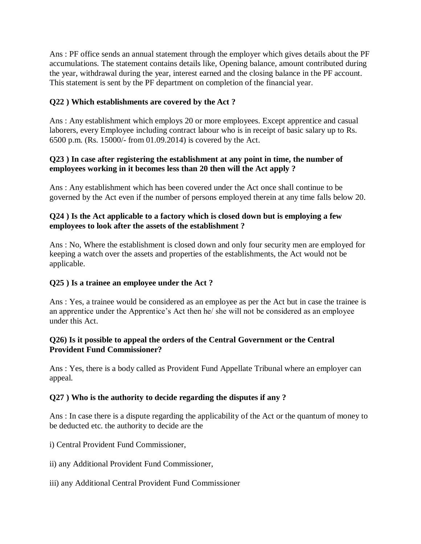Ans : PF office sends an annual statement through the employer which gives details about the PF accumulations. The statement contains details like, Opening balance, amount contributed during the year, withdrawal during the year, interest earned and the closing balance in the PF account. This statement is sent by the PF department on completion of the financial year.

## **Q22 ) Which establishments are covered by the Act ?**

Ans : Any establishment which employs 20 or more employees. Except apprentice and casual laborers, every Employee including contract labour who is in receipt of basic salary up to Rs. 6500 p.m. (Rs. 15000/- from 01.09.2014) is covered by the Act.

#### **Q23 ) In case after registering the establishment at any point in time, the number of employees working in it becomes less than 20 then will the Act apply ?**

Ans : Any establishment which has been covered under the Act once shall continue to be governed by the Act even if the number of persons employed therein at any time falls below 20.

#### **Q24 ) Is the Act applicable to a factory which is closed down but is employing a few employees to look after the assets of the establishment ?**

Ans : No, Where the establishment is closed down and only four security men are employed for keeping a watch over the assets and properties of the establishments, the Act would not be applicable.

#### **Q25 ) Is a trainee an employee under the Act ?**

Ans : Yes, a trainee would be considered as an employee as per the Act but in case the trainee is an apprentice under the Apprentice's Act then he/ she will not be considered as an employee under this Act.

#### **Q26) Is it possible to appeal the orders of the Central Government or the Central Provident Fund Commissioner?**

Ans : Yes, there is a body called as Provident Fund Appellate Tribunal where an employer can appeal.

#### **Q27 ) Who is the authority to decide regarding the disputes if any ?**

Ans : In case there is a dispute regarding the applicability of the Act or the quantum of money to be deducted etc. the authority to decide are the

- i) Central Provident Fund Commissioner,
- ii) any Additional Provident Fund Commissioner,
- iii) any Additional Central Provident Fund Commissioner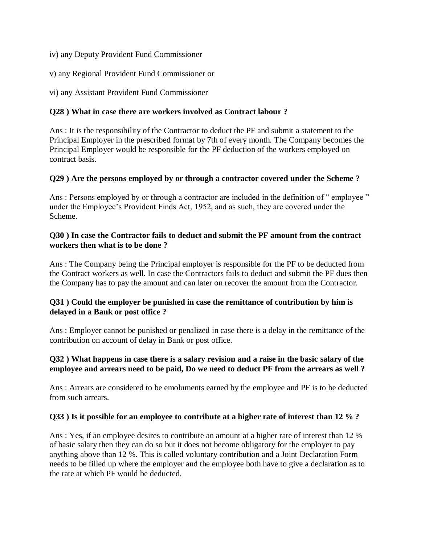iv) any Deputy Provident Fund Commissioner

v) any Regional Provident Fund Commissioner or

vi) any Assistant Provident Fund Commissioner

#### **Q28 ) What in case there are workers involved as Contract labour ?**

Ans : It is the responsibility of the Contractor to deduct the PF and submit a statement to the Principal Employer in the prescribed format by 7th of every month. The Company becomes the Principal Employer would be responsible for the PF deduction of the workers employed on contract basis.

#### **Q29 ) Are the persons employed by or through a contractor covered under the Scheme ?**

Ans : Persons employed by or through a contractor are included in the definition of " employee " under the Employee's Provident Finds Act, 1952, and as such, they are covered under the Scheme.

#### **Q30 ) In case the Contractor fails to deduct and submit the PF amount from the contract workers then what is to be done ?**

Ans : The Company being the Principal employer is responsible for the PF to be deducted from the Contract workers as well. In case the Contractors fails to deduct and submit the PF dues then the Company has to pay the amount and can later on recover the amount from the Contractor.

#### **Q31 ) Could the employer be punished in case the remittance of contribution by him is delayed in a Bank or post office ?**

Ans : Employer cannot be punished or penalized in case there is a delay in the remittance of the contribution on account of delay in Bank or post office.

#### **Q32 ) What happens in case there is a salary revision and a raise in the basic salary of the employee and arrears need to be paid, Do we need to deduct PF from the arrears as well ?**

Ans : Arrears are considered to be emoluments earned by the employee and PF is to be deducted from such arrears.

#### **Q33 ) Is it possible for an employee to contribute at a higher rate of interest than 12 % ?**

Ans : Yes, if an employee desires to contribute an amount at a higher rate of interest than 12 % of basic salary then they can do so but it does not become obligatory for the employer to pay anything above than 12 %. This is called voluntary contribution and a Joint Declaration Form needs to be filled up where the employer and the employee both have to give a declaration as to the rate at which PF would be deducted.